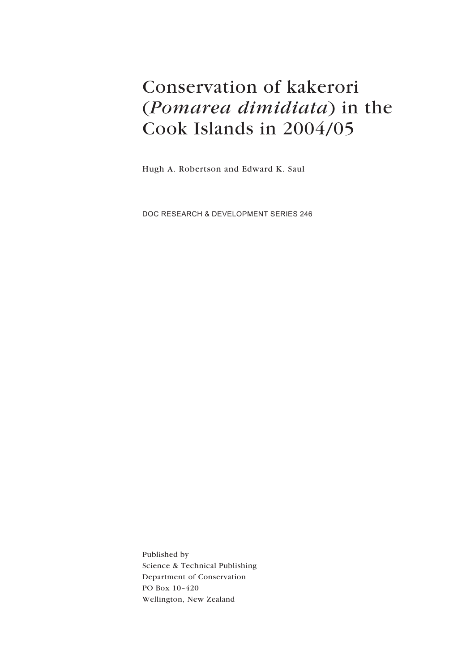# Conservation of kakerori (*Pomarea dimidiata*) in the Cook Islands in 2004/05

Hugh A. Robertson and Edward K. Saul

DOC RESEARCH & DEVELOPMENT SERIES 246

Published by Science & Technical Publishing Department of Conservation PO Box 10–420 Wellington, New Zealand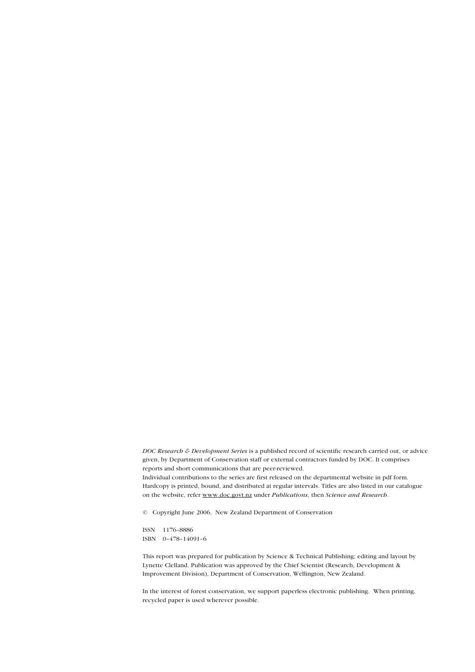*DOC Research & Development Series* is a published record of scientific research carried out, or advice given, by Department of Conservation staff or external contractors funded by DOC. It comprises reports and short communications that are peer-reviewed.

Individual contributions to the series are first released on the departmental website in pdf form. Hardcopy is printed, bound, and distributed at regular intervals. Titles are also listed in our catalogue on the website, refer www.doc.govt.nz under *Publications*, then *Science and Research*.

© Copyright June 2006, New Zealand Department of Conservation

ISSN 1176–8886 ISBN 0–478–14091–6

This report was prepared for publication by Science & Technical Publishing; editing and layout by Lynette Clelland. Publication was approved by the Chief Scientist (Research, Development & Improvement Division), Department of Conservation, Wellington, New Zealand.

In the interest of forest conservation, we support paperless electronic publishing. When printing, recycled paper is used wherever possible.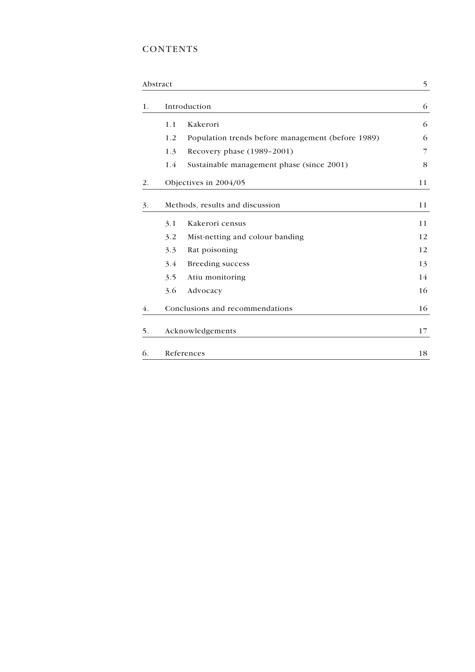## **CONTENTS**

| Abstract |                                 |                                                   | 5  |
|----------|---------------------------------|---------------------------------------------------|----|
| 1.       | Introduction                    |                                                   | 6  |
|          | 1.1                             | Kakerori                                          | 6  |
|          | 1.2                             | Population trends before management (before 1989) | 6  |
|          | 1.3                             | Recovery phase (1989-2001)                        | 7  |
|          | 1.4                             | Sustainable management phase (since 2001)         | 8  |
| 2.       |                                 | Objectives in 2004/05                             | 11 |
| 3.       | Methods, results and discussion |                                                   | 11 |
|          | 3.1                             | Kakerori census                                   | 11 |
|          | 3.2                             | Mist-netting and colour banding                   | 12 |
|          | 3.3                             | Rat poisoning                                     | 12 |
|          | 3.4                             | <b>Breeding success</b>                           | 13 |
|          | 3.5                             | Atiu monitoring                                   | 14 |
|          | 3.6                             | Advocacy                                          | 16 |
| 4.       |                                 | Conclusions and recommendations                   |    |
| 5.       | Acknowledgements                |                                                   | 17 |
| 6.       | References                      |                                                   | 18 |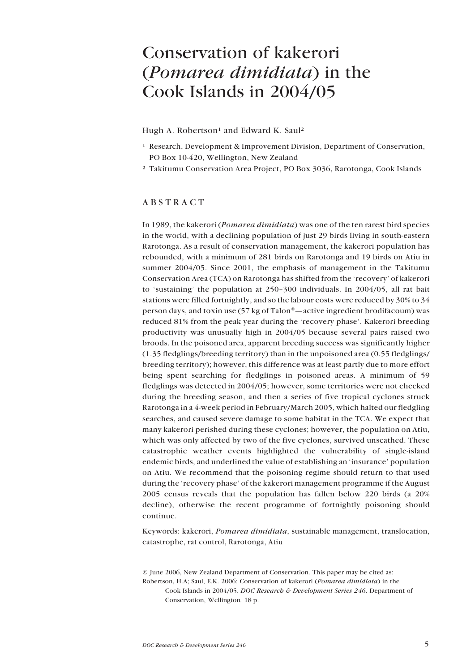# <span id="page-4-0"></span>Conservation of kakerori (*Pomarea dimidiata*) in the Cook Islands in 2004/05

Hugh A. Robertson<sup>1</sup> and Edward K. Saul<sup>2</sup>

- <sup>1</sup> Research, Development & Improvement Division, Department of Conservation, PO Box 10-420, Wellington, New Zealand
- ² Takitumu Conservation Area Project, PO Box 3036, Rarotonga, Cook Islands

#### ABSTRACT

In 1989, the kakerori (*Pomarea dimidiata*) was one of the ten rarest bird species in the world, with a declining population of just 29 birds living in south-eastern Rarotonga. As a result of conservation management, the kakerori population has rebounded, with a minimum of 281 birds on Rarotonga and 19 birds on Atiu in summer 2004/05. Since 2001, the emphasis of management in the Takitumu Conservation Area (TCA) on Rarotonga has shifted from the 'recovery' of kakerori to 'sustaining' the population at 250–300 individuals. In 2004/05, all rat bait stations were filled fortnightly, and so the labour costs were reduced by 30% to 34 person days, and toxin use  $(57 \text{ kg of } \text{Talon}^*$  -active ingredient brodifacoum) was reduced 81% from the peak year during the 'recovery phase'. Kakerori breeding productivity was unusually high in 2004/05 because several pairs raised two broods. In the poisoned area, apparent breeding success was significantly higher (1.35 fledglings/breeding territory) than in the unpoisoned area (0.55 fledglings/ breeding territory); however, this difference was at least partly due to more effort being spent searching for fledglings in poisoned areas. A minimum of 59 fledglings was detected in 2004/05; however, some territories were not checked during the breeding season, and then a series of five tropical cyclones struck Rarotonga in a 4-week period in February/March 2005, which halted our fledgling searches, and caused severe damage to some habitat in the TCA. We expect that many kakerori perished during these cyclones; however, the population on Atiu, which was only affected by two of the five cyclones, survived unscathed. These catastrophic weather events highlighted the vulnerability of single-island endemic birds, and underlined the value of establishing an 'insurance' population on Atiu. We recommend that the poisoning regime should return to that used during the 'recovery phase' of the kakerori management programme if the August 2005 census reveals that the population has fallen below 220 birds (a 20% decline), otherwise the recent programme of fortnightly poisoning should continue.

Keywords: kakerori, *Pomarea dimidiata*, sustainable management, translocation, catastrophe, rat control, Rarotonga, Atiu

<sup>©</sup> June 2006, New Zealand Department of Conservation. This paper may be cited as: Robertson, H.A; Saul, E.K. 2006: Conservation of kakerori (*Pomarea dimidiata*) in the Cook Islands in 2004/05. *DOC Research & Development Series 246*. Department of Conservation, Wellington*.* 18 p.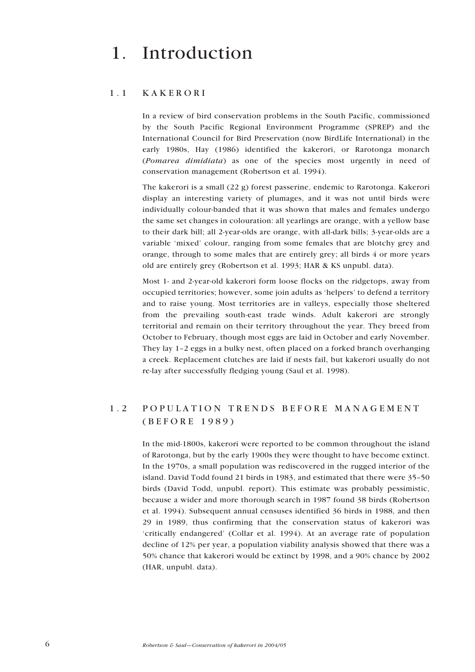# <span id="page-5-0"></span>1. Introduction

### 1.1 KAKERORI

In a review of bird conservation problems in the South Pacific, commissioned by the South Pacific Regional Environment Programme (SPREP) and the International Council for Bird Preservation (now BirdLife International) in the early 1980s, Hay (1986) identified the kakerori, or Rarotonga monarch (*Pomarea dimidiata*) as one of the species most urgently in need of conservation management (Robertson et al. 1994).

The kakerori is a small (22 g) forest passerine, endemic to Rarotonga. Kakerori display an interesting variety of plumages, and it was not until birds were individually colour-banded that it was shown that males and females undergo the same set changes in colouration: all yearlings are orange, with a yellow base to their dark bill; all 2-year-olds are orange, with all-dark bills; 3-year-olds are a variable 'mixed' colour, ranging from some females that are blotchy grey and orange, through to some males that are entirely grey; all birds 4 or more years old are entirely grey (Robertson et al. 1993; HAR & KS unpubl. data).

Most 1- and 2-year-old kakerori form loose flocks on the ridgetops, away from occupied territories; however, some join adults as 'helpers' to defend a territory and to raise young. Most territories are in valleys, especially those sheltered from the prevailing south-east trade winds. Adult kakerori are strongly territorial and remain on their territory throughout the year. They breed from October to February, though most eggs are laid in October and early November. They lay 1–2 eggs in a bulky nest, often placed on a forked branch overhanging a creek. Replacement clutches are laid if nests fail, but kakerori usually do not re-lay after successfully fledging young (Saul et al. 1998).

## 1.2 POPULATION TRENDS BEFORE MANAGEMENT (BEFORE 1989)

In the mid-1800s, kakerori were reported to be common throughout the island of Rarotonga, but by the early 1900s they were thought to have become extinct. In the 1970s, a small population was rediscovered in the rugged interior of the island. David Todd found 21 birds in 1983, and estimated that there were 35–50 birds (David Todd, unpubl. report). This estimate was probably pessimistic, because a wider and more thorough search in 1987 found 38 birds (Robertson et al. 1994). Subsequent annual censuses identified 36 birds in 1988, and then 29 in 1989, thus confirming that the conservation status of kakerori was 'critically endangered' (Collar et al. 1994). At an average rate of population decline of 12% per year, a population viability analysis showed that there was a 50% chance that kakerori would be extinct by 1998, and a 90% chance by 2002 (HAR, unpubl. data).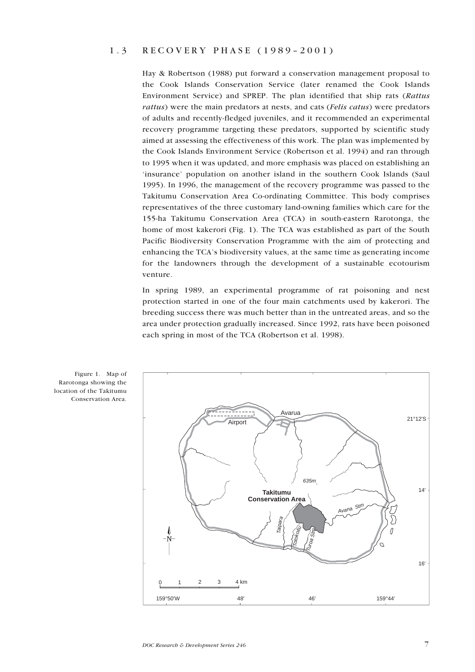#### <span id="page-6-0"></span>1.3 RECOVERY PHASE (1989–2001)

Hay & Robertson (1988) put forward a conservation management proposal to the Cook Islands Conservation Service (later renamed the Cook Islands Environment Service) and SPREP. The plan identified that ship rats (*Rattus rattus*) were the main predators at nests, and cats (*Felis catus*) were predators of adults and recently-fledged juveniles, and it recommended an experimental recovery programme targeting these predators, supported by scientific study aimed at assessing the effectiveness of this work. The plan was implemented by the Cook Islands Environment Service (Robertson et al. 1994) and ran through to 1995 when it was updated, and more emphasis was placed on establishing an 'insurance' population on another island in the southern Cook Islands (Saul 1995). In 1996, the management of the recovery programme was passed to the Takitumu Conservation Area Co-ordinating Committee. This body comprises representatives of the three customary land-owning families which care for the 155-ha Takitumu Conservation Area (TCA) in south-eastern Rarotonga, the home of most kakerori (Fig. 1). The TCA was established as part of the South Pacific Biodiversity Conservation Programme with the aim of protecting and enhancing the TCA's biodiversity values, at the same time as generating income for the landowners through the development of a sustainable ecotourism venture.

In spring 1989, an experimental programme of rat poisoning and nest protection started in one of the four main catchments used by kakerori. The breeding success there was much better than in the untreated areas, and so the area under protection gradually increased. Since 1992, rats have been poisoned each spring in most of the TCA (Robertson et al. 1998).



Figure 1. Map of Rarotonga showing the location of the Takitumu Conservation Area.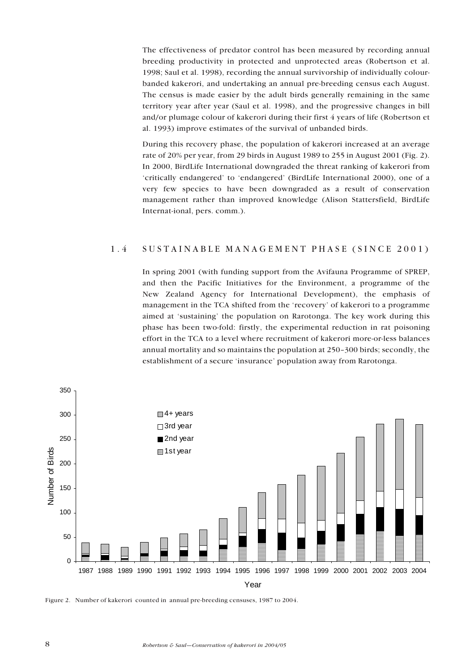<span id="page-7-0"></span>The effectiveness of predator control has been measured by recording annual breeding productivity in protected and unprotected areas (Robertson et al. 1998; Saul et al. 1998), recording the annual survivorship of individually colourbanded kakerori, and undertaking an annual pre-breeding census each August. The census is made easier by the adult birds generally remaining in the same territory year after year (Saul et al. 1998), and the progressive changes in bill and/or plumage colour of kakerori during their first 4 years of life (Robertson et al. 1993) improve estimates of the survival of unbanded birds.

During this recovery phase, the population of kakerori increased at an average rate of 20% per year, from 29 birds in August 1989 to 255 in August 2001 (Fig. 2). In 2000, BirdLife International downgraded the threat ranking of kakerori from 'critically endangered' to 'endangered' (BirdLife International 2000), one of a very few species to have been downgraded as a result of conservation management rather than improved knowledge (Alison Stattersfield, BirdLife Internat-ional, pers. comm.).

### 1.4 SUSTAINABLE MANAGEMENT PHASE (SINCE 2001)

In spring 2001 (with funding support from the Avifauna Programme of SPREP, and then the Pacific Initiatives for the Environment, a programme of the New Zealand Agency for International Development), the emphasis of management in the TCA shifted from the 'recovery' of kakerori to a programme aimed at 'sustaining' the population on Rarotonga. The key work during this phase has been two-fold: firstly, the experimental reduction in rat poisoning effort in the TCA to a level where recruitment of kakerori more-or-less balances annual mortality and so maintains the population at 250–300 birds; secondly, the establishment of a secure 'insurance' population away from Rarotonga.



Figure 2. Number of kakerori counted in annual pre-breeding censuses, 1987 to 2004.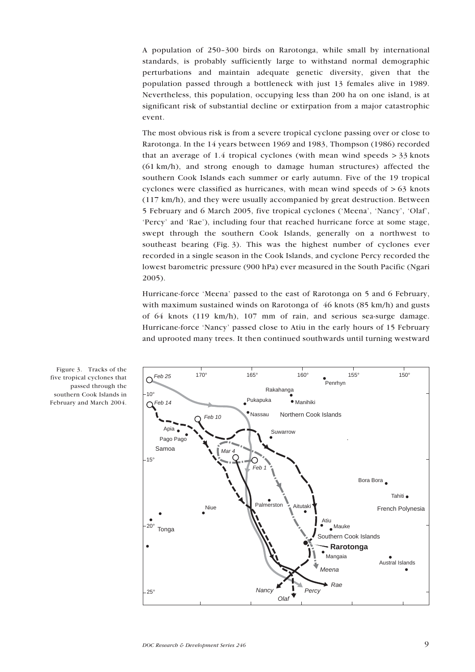A population of 250–300 birds on Rarotonga, while small by international standards, is probably sufficiently large to withstand normal demographic perturbations and maintain adequate genetic diversity, given that the population passed through a bottleneck with just 13 females alive in 1989. Nevertheless, this population, occupying less than 200 ha on one island, is at significant risk of substantial decline or extirpation from a major catastrophic event.

The most obvious risk is from a severe tropical cyclone passing over or close to Rarotonga. In the 14 years between 1969 and 1983, Thompson (1986) recorded that an average of  $1.4$  tropical cyclones (with mean wind speeds  $>$  33 knots (61 km/h), and strong enough to damage human structures) affected the southern Cook Islands each summer or early autumn. Five of the 19 tropical cyclones were classified as hurricanes, with mean wind speeds of  $> 63$  knots (117 km/h), and they were usually accompanied by great destruction. Between 5 February and 6 March 2005, five tropical cyclones ('Meena', 'Nancy', 'Olaf', 'Percy' and 'Rae'), including four that reached hurricane force at some stage, swept through the southern Cook Islands, generally on a northwest to southeast bearing (Fig. 3). This was the highest number of cyclones ever recorded in a single season in the Cook Islands, and cyclone Percy recorded the lowest barometric pressure (900 hPa) ever measured in the South Pacific (Ngari 2005).

Hurricane-force 'Meena' passed to the east of Rarotonga on 5 and 6 February, with maximum sustained winds on Rarotonga of 46 knots (85 km/h) and gusts of 64 knots (119 km/h), 107 mm of rain, and serious sea-surge damage. Hurricane-force 'Nancy' passed close to Atiu in the early hours of 15 February and uprooted many trees. It then continued southwards until turning westward



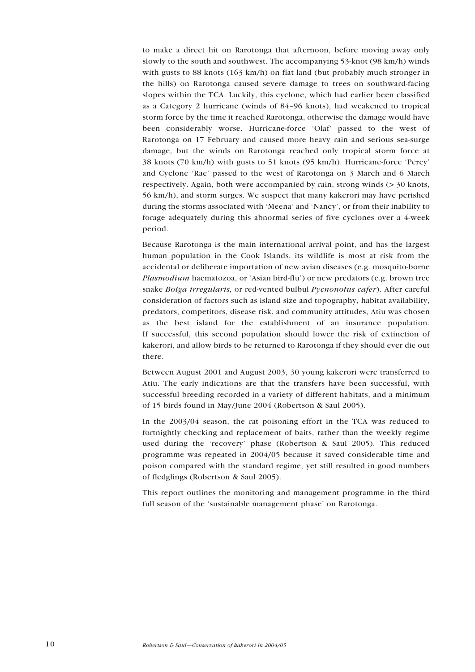to make a direct hit on Rarotonga that afternoon, before moving away only slowly to the south and southwest. The accompanying 53-knot (98 km/h) winds with gusts to 88 knots (163 km/h) on flat land (but probably much stronger in the hills) on Rarotonga caused severe damage to trees on southward-facing slopes within the TCA. Luckily, this cyclone, which had earlier been classified as a Category 2 hurricane (winds of 84–96 knots), had weakened to tropical storm force by the time it reached Rarotonga, otherwise the damage would have been considerably worse. Hurricane-force 'Olaf' passed to the west of Rarotonga on 17 February and caused more heavy rain and serious sea-surge damage, but the winds on Rarotonga reached only tropical storm force at 38 knots (70 km/h) with gusts to 51 knots (95 km/h). Hurricane-force 'Percy' and Cyclone 'Rae' passed to the west of Rarotonga on 3 March and 6 March respectively. Again, both were accompanied by rain, strong winds (> 30 knots, 56 km/h), and storm surges. We suspect that many kakerori may have perished during the storms associated with 'Meena' and 'Nancy', or from their inability to forage adequately during this abnormal series of five cyclones over a 4-week period.

Because Rarotonga is the main international arrival point, and has the largest human population in the Cook Islands, its wildlife is most at risk from the accidental or deliberate importation of new avian diseases (e.g. mosquito-borne *Plasmodium* haematozoa, or 'Asian bird-flu') or new predators (e.g. brown tree snake *Boiga irregularis,* or red-vented bulbul *Pycnonotus cafer*). After careful consideration of factors such as island size and topography, habitat availability, predators, competitors, disease risk, and community attitudes, Atiu was chosen as the best island for the establishment of an insurance population. If successful, this second population should lower the risk of extinction of kakerori, and allow birds to be returned to Rarotonga if they should ever die out there.

Between August 2001 and August 2003, 30 young kakerori were transferred to Atiu. The early indications are that the transfers have been successful, with successful breeding recorded in a variety of different habitats, and a minimum of 15 birds found in May/June 2004 (Robertson & Saul 2005).

In the 2003/04 season, the rat poisoning effort in the TCA was reduced to fortnightly checking and replacement of baits, rather than the weekly regime used during the 'recovery' phase (Robertson & Saul 2005). This reduced programme was repeated in 2004/05 because it saved considerable time and poison compared with the standard regime, yet still resulted in good numbers of fledglings (Robertson & Saul 2005).

This report outlines the monitoring and management programme in the third full season of the 'sustainable management phase' on Rarotonga.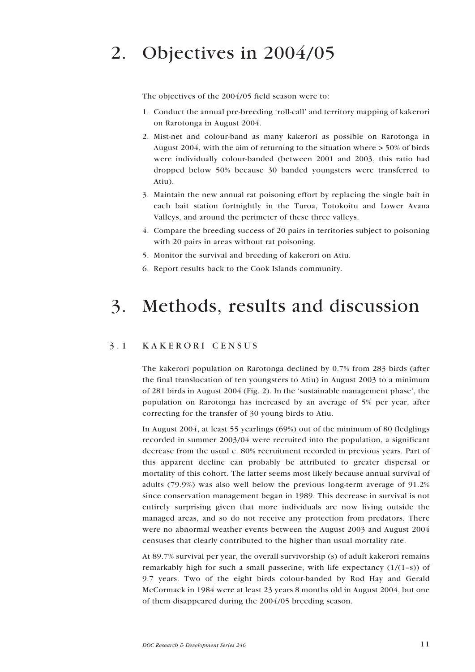# <span id="page-10-0"></span>2. Objectives in 2004/05

The objectives of the 2004/05 field season were to:

- 1. Conduct the annual pre-breeding 'roll-call' and territory mapping of kakerori on Rarotonga in August 2004.
- 2. Mist-net and colour-band as many kakerori as possible on Rarotonga in August 2004, with the aim of returning to the situation where > 50% of birds were individually colour-banded (between 2001 and 2003, this ratio had dropped below 50% because 30 banded youngsters were transferred to Atiu).
- 3. Maintain the new annual rat poisoning effort by replacing the single bait in each bait station fortnightly in the Turoa, Totokoitu and Lower Avana Valleys, and around the perimeter of these three valleys.
- 4. Compare the breeding success of 20 pairs in territories subject to poisoning with 20 pairs in areas without rat poisoning.
- 5. Monitor the survival and breeding of kakerori on Atiu.
- 6. Report results back to the Cook Islands community.

## 3. Methods, results and discussion

### 3.1 KAKERORI CENSUS

The kakerori population on Rarotonga declined by 0.7% from 283 birds (after the final translocation of ten youngsters to Atiu) in August 2003 to a minimum of 281 birds in August 2004 (Fig. 2). In the 'sustainable management phase', the population on Rarotonga has increased by an average of 5% per year, after correcting for the transfer of 30 young birds to Atiu.

In August 2004, at least 55 yearlings (69%) out of the minimum of 80 fledglings recorded in summer 2003/04 were recruited into the population, a significant decrease from the usual c. 80% recruitment recorded in previous years. Part of this apparent decline can probably be attributed to greater dispersal or mortality of this cohort. The latter seems most likely because annual survival of adults (79.9%) was also well below the previous long-term average of 91.2% since conservation management began in 1989. This decrease in survival is not entirely surprising given that more individuals are now living outside the managed areas, and so do not receive any protection from predators. There were no abnormal weather events between the August 2003 and August 2004 censuses that clearly contributed to the higher than usual mortality rate.

At 89.7% survival per year, the overall survivorship (s) of adult kakerori remains remarkably high for such a small passerine, with life expectancy  $(1/(1-s))$  of 9.7 years. Two of the eight birds colour-banded by Rod Hay and Gerald McCormack in 1984 were at least 23 years 8 months old in August 2004, but one of them disappeared during the 2004/05 breeding season.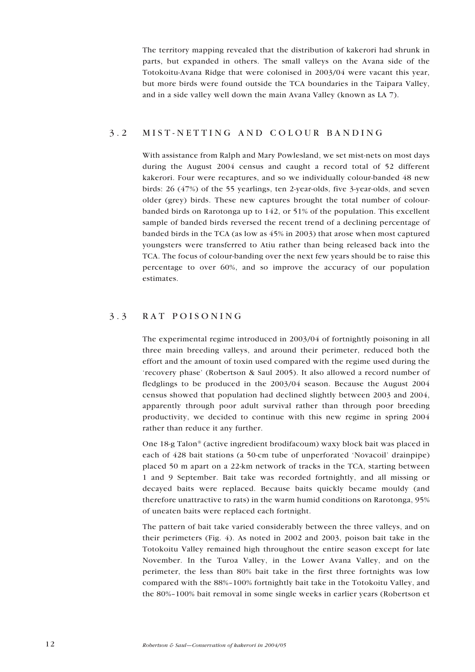<span id="page-11-0"></span>The territory mapping revealed that the distribution of kakerori had shrunk in parts, but expanded in others. The small valleys on the Avana side of the Totokoitu-Avana Ridge that were colonised in 2003/04 were vacant this year, but more birds were found outside the TCA boundaries in the Taipara Valley, and in a side valley well down the main Avana Valley (known as LA 7).

### 3.2 MIST-NETTING AND COLOUR BANDING

With assistance from Ralph and Mary Powlesland, we set mist-nets on most days during the August 2004 census and caught a record total of 52 different kakerori. Four were recaptures, and so we individually colour-banded 48 new birds: 26 (47%) of the 55 yearlings, ten 2-year-olds, five 3-year-olds, and seven older (grey) birds. These new captures brought the total number of colourbanded birds on Rarotonga up to 142, or 51% of the population. This excellent sample of banded birds reversed the recent trend of a declining percentage of banded birds in the TCA (as low as 45% in 2003) that arose when most captured youngsters were transferred to Atiu rather than being released back into the TCA. The focus of colour-banding over the next few years should be to raise this percentage to over 60%, and so improve the accuracy of our population estimates.

### 3.3 RAT POISONING

The experimental regime introduced in 2003/04 of fortnightly poisoning in all three main breeding valleys, and around their perimeter, reduced both the effort and the amount of toxin used compared with the regime used during the 'recovery phase' (Robertson & Saul 2005). It also allowed a record number of fledglings to be produced in the 2003/04 season. Because the August 2004 census showed that population had declined slightly between 2003 and 2004, apparently through poor adult survival rather than through poor breeding productivity, we decided to continue with this new regime in spring 2004 rather than reduce it any further.

One 18-g Talon® (active ingredient brodifacoum) waxy block bait was placed in each of 428 bait stations (a 50-cm tube of unperforated 'Novacoil' drainpipe) placed 50 m apart on a 22-km network of tracks in the TCA, starting between 1 and 9 September. Bait take was recorded fortnightly, and all missing or decayed baits were replaced. Because baits quickly became mouldy (and therefore unattractive to rats) in the warm humid conditions on Rarotonga, 95% of uneaten baits were replaced each fortnight.

The pattern of bait take varied considerably between the three valleys, and on their perimeters (Fig. 4). As noted in 2002 and 2003, poison bait take in the Totokoitu Valley remained high throughout the entire season except for late November. In the Turoa Valley, in the Lower Avana Valley, and on the perimeter, the less than 80% bait take in the first three fortnights was low compared with the 88%–100% fortnightly bait take in the Totokoitu Valley, and the 80%–100% bait removal in some single weeks in earlier years (Robertson et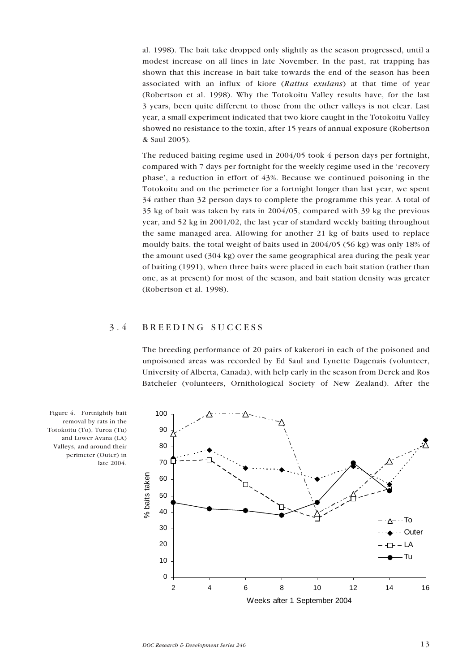<span id="page-12-0"></span>al. 1998). The bait take dropped only slightly as the season progressed, until a modest increase on all lines in late November. In the past, rat trapping has shown that this increase in bait take towards the end of the season has been associated with an influx of kiore (*Rattus exulans*) at that time of year (Robertson et al. 1998). Why the Totokoitu Valley results have, for the last 3 years, been quite different to those from the other valleys is not clear. Last year, a small experiment indicated that two kiore caught in the Totokoitu Valley showed no resistance to the toxin, after 15 years of annual exposure (Robertson & Saul 2005).

The reduced baiting regime used in 2004/05 took 4 person days per fortnight, compared with 7 days per fortnight for the weekly regime used in the 'recovery phase', a reduction in effort of 43%. Because we continued poisoning in the Totokoitu and on the perimeter for a fortnight longer than last year, we spent 34 rather than 32 person days to complete the programme this year. A total of 35 kg of bait was taken by rats in 2004/05, compared with 39 kg the previous year, and 52 kg in 2001/02, the last year of standard weekly baiting throughout the same managed area. Allowing for another 21 kg of baits used to replace mouldy baits, the total weight of baits used in 2004/05 (56 kg) was only 18% of the amount used (304 kg) over the same geographical area during the peak year of baiting (1991), when three baits were placed in each bait station (rather than one, as at present) for most of the season, and bait station density was greater (Robertson et al. 1998).

### 3.4 BREEDING SUCCESS

The breeding performance of 20 pairs of kakerori in each of the poisoned and unpoisoned areas was recorded by Ed Saul and Lynette Dagenais (volunteer, University of Alberta, Canada), with help early in the season from Derek and Ros Batcheler (volunteers, Ornithological Society of New Zealand). After the



Figure 4. Fortnightly bait removal by rats in the Totokoitu (To), Turoa (Tu) and Lower Avana (LA) Valleys, and around their perimeter (Outer) in late 2004.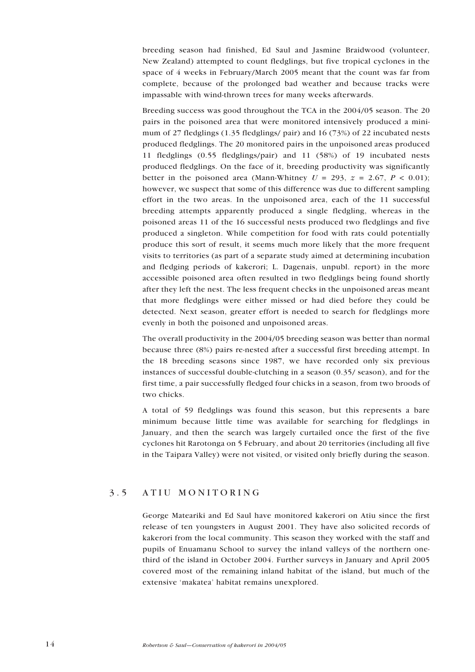<span id="page-13-0"></span>breeding season had finished, Ed Saul and Jasmine Braidwood (volunteer, New Zealand) attempted to count fledglings, but five tropical cyclones in the space of 4 weeks in February/March 2005 meant that the count was far from complete, because of the prolonged bad weather and because tracks were impassable with wind-thrown trees for many weeks afterwards.

Breeding success was good throughout the TCA in the 2004/05 season. The 20 pairs in the poisoned area that were monitored intensively produced a minimum of 27 fledglings (1.35 fledglings/ pair) and 16 (73%) of 22 incubated nests produced fledglings. The 20 monitored pairs in the unpoisoned areas produced 11 fledglings (0.55 fledglings/pair) and 11 (58%) of 19 incubated nests produced fledglings. On the face of it, breeding productivity was significantly better in the poisoned area (Mann-Whitney  $U = 293$ ,  $z = 2.67$ ,  $P < 0.01$ ); however, we suspect that some of this difference was due to different sampling effort in the two areas. In the unpoisoned area, each of the 11 successful breeding attempts apparently produced a single fledgling, whereas in the poisoned areas 11 of the 16 successful nests produced two fledglings and five produced a singleton. While competition for food with rats could potentially produce this sort of result, it seems much more likely that the more frequent visits to territories (as part of a separate study aimed at determining incubation and fledging periods of kakerori; L. Dagenais, unpubl. report) in the more accessible poisoned area often resulted in two fledglings being found shortly after they left the nest. The less frequent checks in the unpoisoned areas meant that more fledglings were either missed or had died before they could be detected. Next season, greater effort is needed to search for fledglings more evenly in both the poisoned and unpoisoned areas.

The overall productivity in the 2004/05 breeding season was better than normal because three (8%) pairs re-nested after a successful first breeding attempt. In the 18 breeding seasons since 1987, we have recorded only six previous instances of successful double-clutching in a season (0.35/ season), and for the first time, a pair successfully fledged four chicks in a season, from two broods of two chicks.

A total of 59 fledglings was found this season, but this represents a bare minimum because little time was available for searching for fledglings in January, and then the search was largely curtailed once the first of the five cyclones hit Rarotonga on 5 February, and about 20 territories (including all five in the Taipara Valley) were not visited, or visited only briefly during the season.

### 3.5 ATIU MONITORING

George Mateariki and Ed Saul have monitored kakerori on Atiu since the first release of ten youngsters in August 2001. They have also solicited records of kakerori from the local community. This season they worked with the staff and pupils of Enuamanu School to survey the inland valleys of the northern onethird of the island in October 2004. Further surveys in January and April 2005 covered most of the remaining inland habitat of the island, but much of the extensive 'makatea' habitat remains unexplored.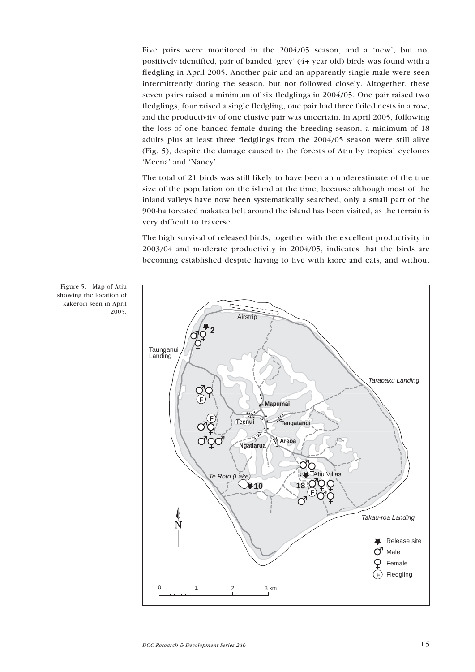Five pairs were monitored in the 2004/05 season, and a 'new', but not positively identified, pair of banded 'grey' (4+ year old) birds was found with a fledgling in April 2005. Another pair and an apparently single male were seen intermittently during the season, but not followed closely. Altogether, these seven pairs raised a minimum of six fledglings in 2004/05. One pair raised two fledglings, four raised a single fledgling, one pair had three failed nests in a row, and the productivity of one elusive pair was uncertain. In April 2005, following the loss of one banded female during the breeding season, a minimum of 18 adults plus at least three fledglings from the 2004/05 season were still alive (Fig. 5), despite the damage caused to the forests of Atiu by tropical cyclones 'Meena' and 'Nancy'.

The total of 21 birds was still likely to have been an underestimate of the true size of the population on the island at the time, because although most of the inland valleys have now been systematically searched, only a small part of the 900-ha forested makatea belt around the island has been visited, as the terrain is very difficult to traverse.

The high survival of released birds, together with the excellent productivity in 2003/04 and moderate productivity in 2004/05, indicates that the birds are becoming established despite having to live with kiore and cats, and without



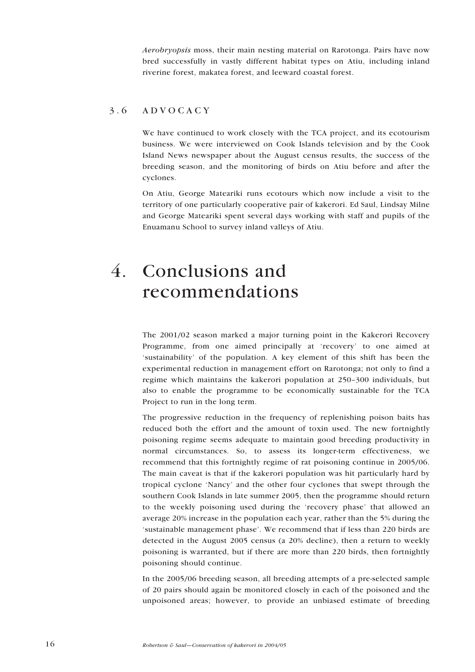<span id="page-15-0"></span>*Aerobryopsis* moss, their main nesting material on Rarotonga. Pairs have now bred successfully in vastly different habitat types on Atiu, including inland riverine forest, makatea forest, and leeward coastal forest.

### 3.6 ADVOCACY

We have continued to work closely with the TCA project, and its ecotourism business. We were interviewed on Cook Islands television and by the Cook Island News newspaper about the August census results, the success of the breeding season, and the monitoring of birds on Atiu before and after the cyclones.

On Atiu, George Mateariki runs ecotours which now include a visit to the territory of one particularly cooperative pair of kakerori. Ed Saul, Lindsay Milne and George Mateariki spent several days working with staff and pupils of the Enuamanu School to survey inland valleys of Atiu.

## 4. Conclusions and recommendations

The 2001/02 season marked a major turning point in the Kakerori Recovery Programme, from one aimed principally at 'recovery' to one aimed at 'sustainability' of the population. A key element of this shift has been the experimental reduction in management effort on Rarotonga; not only to find a regime which maintains the kakerori population at 250–300 individuals, but also to enable the programme to be economically sustainable for the TCA Project to run in the long term.

The progressive reduction in the frequency of replenishing poison baits has reduced both the effort and the amount of toxin used. The new fortnightly poisoning regime seems adequate to maintain good breeding productivity in normal circumstances. So, to assess its longer-term effectiveness, we recommend that this fortnightly regime of rat poisoning continue in 2005/06. The main caveat is that if the kakerori population was hit particularly hard by tropical cyclone 'Nancy' and the other four cyclones that swept through the southern Cook Islands in late summer 2005, then the programme should return to the weekly poisoning used during the 'recovery phase' that allowed an average 20% increase in the population each year, rather than the 5% during the 'sustainable management phase'. We recommend that if less than 220 birds are detected in the August 2005 census (a 20% decline), then a return to weekly poisoning is warranted, but if there are more than 220 birds, then fortnightly poisoning should continue.

In the 2005/06 breeding season, all breeding attempts of a pre-selected sample of 20 pairs should again be monitored closely in each of the poisoned and the unpoisoned areas; however, to provide an unbiased estimate of breeding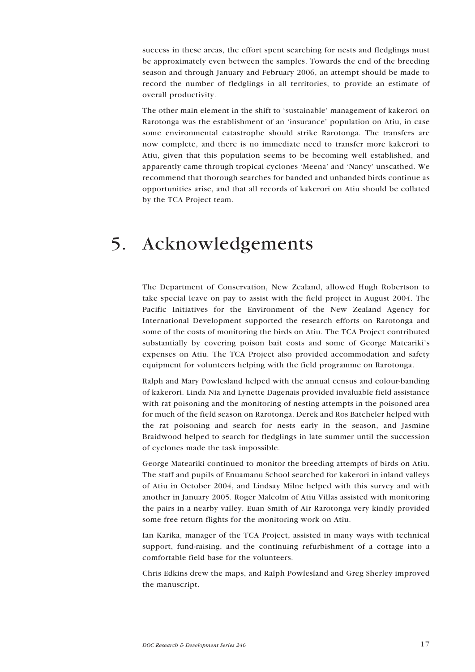<span id="page-16-0"></span>success in these areas, the effort spent searching for nests and fledglings must be approximately even between the samples. Towards the end of the breeding season and through January and February 2006, an attempt should be made to record the number of fledglings in all territories, to provide an estimate of overall productivity.

The other main element in the shift to 'sustainable' management of kakerori on Rarotonga was the establishment of an 'insurance' population on Atiu, in case some environmental catastrophe should strike Rarotonga. The transfers are now complete, and there is no immediate need to transfer more kakerori to Atiu, given that this population seems to be becoming well established, and apparently came through tropical cyclones 'Meena' and 'Nancy' unscathed. We recommend that thorough searches for banded and unbanded birds continue as opportunities arise, and that all records of kakerori on Atiu should be collated by the TCA Project team.

## 5. Acknowledgements

The Department of Conservation, New Zealand, allowed Hugh Robertson to take special leave on pay to assist with the field project in August 2004. The Pacific Initiatives for the Environment of the New Zealand Agency for International Development supported the research efforts on Rarotonga and some of the costs of monitoring the birds on Atiu. The TCA Project contributed substantially by covering poison bait costs and some of George Mateariki's expenses on Atiu. The TCA Project also provided accommodation and safety equipment for volunteers helping with the field programme on Rarotonga.

Ralph and Mary Powlesland helped with the annual census and colour-banding of kakerori. Linda Nia and Lynette Dagenais provided invaluable field assistance with rat poisoning and the monitoring of nesting attempts in the poisoned area for much of the field season on Rarotonga. Derek and Ros Batcheler helped with the rat poisoning and search for nests early in the season, and Jasmine Braidwood helped to search for fledglings in late summer until the succession of cyclones made the task impossible.

George Mateariki continued to monitor the breeding attempts of birds on Atiu. The staff and pupils of Enuamanu School searched for kakerori in inland valleys of Atiu in October 2004, and Lindsay Milne helped with this survey and with another in January 2005. Roger Malcolm of Atiu Villas assisted with monitoring the pairs in a nearby valley. Euan Smith of Air Rarotonga very kindly provided some free return flights for the monitoring work on Atiu.

Ian Karika, manager of the TCA Project, assisted in many ways with technical support, fund-raising, and the continuing refurbishment of a cottage into a comfortable field base for the volunteers.

Chris Edkins drew the maps, and Ralph Powlesland and Greg Sherley improved the manuscript.